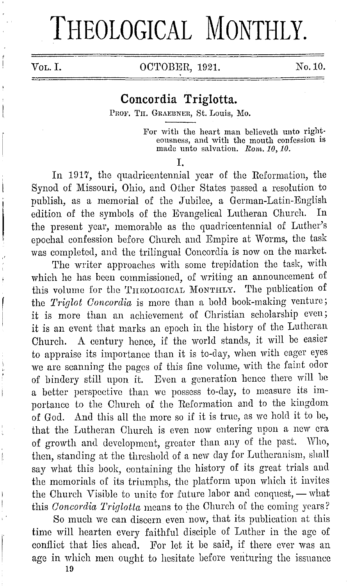# THEOLOGICAL MONTHLY.

VOL. I. 0CTOBER, 1921. No. 10.

# **Concordia Triglotta.**

PROF. TH. GRAEBNER, St. Louis, Mo.

For with the heart man believeth unto righteousness, and with the mouth confession is made unto salvation. *Rom. 10, 10.* 

I.

In 1917, the quadricentennial year of the Reformation, the Synod of Missouri, Ohio, and Other States passed a resolution to publish, as a memorial of the Jubilee, a German-Latin-English edition of the symbols of the Evangelical Lutheran Church. In the present year, memorable as the quadricentennial of Luther's epochal confession before Church and Empire at Worms, the task was completed, and the trilingual Concordia is now on the market.

The writer approaches with some trepidation the task, with which he has been commissioned, of writing an announcement of this volume for the THEOLOGICAL MONTHLY. The publication of the *Trig lot Concordia* is more than a bold book-making venture; it is more than an achievement of Christian scholarship even; it is an event that marks an epoch in the history of the Lutheran Church. A century hence, if the world stands, it will be easier to appraise its importance than it is to-day, when with cager eyes we are scanning the pages of this fine volume, with the faint odor of bindery still upon it. Even a generation hence there will be a better perspective than we possess to-day, to measure its importance to the Church of the Reformation and to the kingdom of God. And this all the more so if it is true, as we hold it to be, that the Lutheran Church is even now entering upon a new era of growth and development, greater than any of the past. Who, then, standing at the threshold of a new day for Lutheranism, shall say what this book, containing the history of its great trials and the memorials of its triumphs, the platform upon which it invites the Church Visible to unite for future labor and conquest, - what this *Concordia Triglotta* means to the Church of the coming years?

So much we can discern even now, that its publication at this time will hearten every faithful disciple of Luther in the age of conflict that lies ahead. For let it be said, if there ever was an age in which men ought to hesitate before venturing the issuance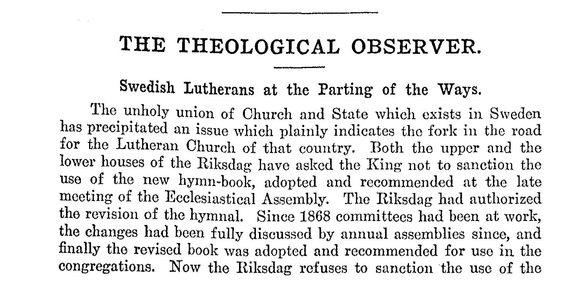# **THE THEOLOGICAL OBSERVER.**

## Swedish Lutherans at the Parting of the Ways.

The unholy union of Church and State which exists in Sweden has precipitated an issue which plainly indicates tho fork in the road for the Lutheran Church of that country. Both the upper and the lower houses of the Riksdag have asked the King not to sanction the use of the new hymn-book, adopted and recommended at the late meeting of the Ecclesiastical Assembly. The Riksdag had authorized the revision of the hymnal. Since 1868 committees had been at work, the changes had been fully discussed by annual assemblies since, and finally tho revised book was adopted and recommended for use in the congregations. Now the Riksdag refuses to sanction the use of the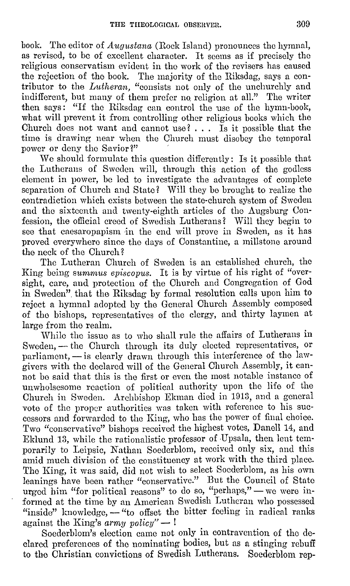book. The editor of *Augustana* (Rock Island) pronounces the hymnal, as revised, to be of excellent character. It seems as if precisely the religious conservatism evident in the work of the revisers has caused the rejection of the book. The majority of the Riksdag, says a contributor to the *Lutheran,* "consists not only of the unchurchly and indifferent, but many of them prefer no religion at all." The writer then says: "If the Riksdag can control the use of the hymn-book, what will prevent it from controlling other religious books which the Church does not want and cannot use?  $\ldots$  Is it possible that the time is drawing near when the Church must disobey the temporal power or deny the Savior?"

We should formulate this question differently: Is it possible that the Lutherans of Sweden will, through this action of the godless element in power, be led to investigate the advantages of complete separation of Church and State? Will they be brought to realize the contradiction which exists between the state-church system of Sweden and tho sixteenth and twenty-eighth articles of the Augsburg Confession, the official creed of Swedish Lutherans? Will they begin to see that caesaropapism in the end will prove in Sweden, as it has proved everywhere since the days of Constantine, a millstone around the neck of the Church?

The Lutheran Church of Sweden is an established church, the King being *sumrnus episcopus.* It is by virtue of his right of "oversight, care, and protection of the Church and Congregation of God in Sweden". that the Riksdag by formal resolution calls upon him to reject a hymnal adopted by the General Church Assembly composed of tho bishops, representatives of the clergy, and thirty laymen at large from the realm.

While the issue as to who shall rule the affairs of Lutherans in Sweden, - the Church through its duly elected representatives, or parliament, - is clearly drawn through this interference of the lawgivers with the declared will of the General Church Assembly, it cannot bo said that this is the first or even the most notable instance of unwholsesome reaction of political authority upon the life of the Church in Sweden. Archbishop Ekman died in 1913, and a general vote of the proper authorities was taken with reference to his successors and forwarded to tho King, who has the power of final choice. Two "conservative" bishops received the highest votes, Danell 14, and Eklund 13, while the rationalistic professor of Upsala, then lent temporarily to Leipsic, Nathan Soederblom, received only six, and this amid much division of the constituency at work with the third place. The King, it was said, did not wish to select Sooderblom, as his own leanings have been rather "conservative." But the Council of State urged him "for political reasons" to do so, "perhaps," - we were informed at the time by an American Swedish Lutheran who possessed "inside" knowledge, - "to offset the bitter feeling in radical ranks against the King's *army policy*" — !

Soederblom's election came not only in contravention of the declared preferences of the nominating bodies, but as a stinging rebuff to the Christian convictions of Swedish Lutherans. Soederblom rep-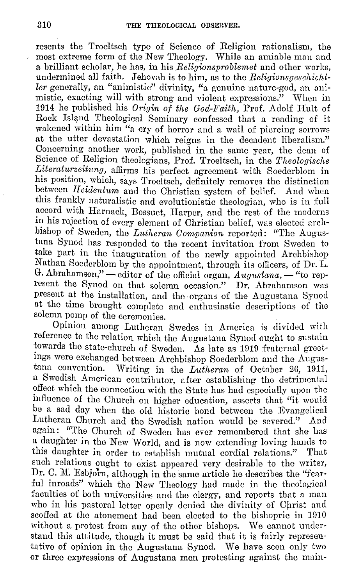resents the Troeltsch type of Science of Religion rationalism, the most extreme form of the New Theology. While an amiable man and a brilliant scholar, he has, in his *Religionsproblemet* and other works, undermined all faith. Jehovah is to him, as to the *Religionsgeschichtler* generally, an "animistic" divinity, "a genuine nature-god, an animistic, exacting will with strong and violent expressions." When in 1914 he published his *Origin of the God-Faith*, Prof. Adolf Hult of Rock Island Theological Seminary confessed that a reading of it wakened within him "a cry of horror and a wail of piercing sorrows at the utter devastation which reigns in the decadent liberalism." Concerning another work, published in the same year, the dean of Science of Religion theologians, Prof. Troeltsch, in the *Theologische Literaturzeitung,* aflirms his perfect agreement with Soederblom in his position, which, says Troeltsch, definitely removes the distinction between *Ileidentum* and the Christian system of belief. And when this frankly naturalistic and evolutionistic theologian, who is in full accord with Harnack, Bossuet, Harper, and the rest of the moderns in his rejection of overy element of Christian belief, was elected archbishop of Sweden, the *Lidheran Companion* reported: "The Augustana Synod has responded to the recent invitation from Sweden to take part in the inauguration of the newly appointed Archbishop Nathan Soedcrblom by the appointment, through its oflicers, of Dr. L. G. Abrahamson," - editor of the official organ, *Augustana*, - "to represent the Synod on that solemn occasion." **Dr.** Abrahamson was present at the installation, and the organs of the Augustana Synod at the time brought complete and enthusiastic descriptions of the solemn pomp of the ceremonies.

Opinion among Lutheran Swedes in America is divided with reference to the relation which the Augustana Synod ought to sustain towards the state-church of Sweden. As late as 1919 fraternal greetings were exchanged between Archbishop Soederblom and the Augustana convention. Writing in the *Lutheran* of October 26, 1911, a Swedish American contributor, after establishing the detrimental effect which the connection with tho State has had especially upon the influence of the Church on higher education, asserts that "it would be a sad day when the old historic bond between the Evangelical Lutheran Church and the Swedish nation would be severed." And again: "The Church of Sweden has ever remembered that she has a daughter in the New World, and is now extending loving hands to this daughter in order to establish mutual cordial relations." That such relations ought to exist appeared very desirable to the writer, Dr. C. M. Esbjorn, although in the same article he describes the "fearful inroads" which the  $\bar{N}$ ew Theology had made in the theological faculties of both universities and the clergy, and reports that a man who in his pastoral letter openly denied the divinity of Christ and scoffed at the atonement had been elected to the bishopric in 1910 without a protest from any of tho other bishops. We cannot understand this attitude, though it must be said that it is fairly representative of opinion in the Augustana Synod. We have seen only two or three expressions of Augustana men protesting against tho main-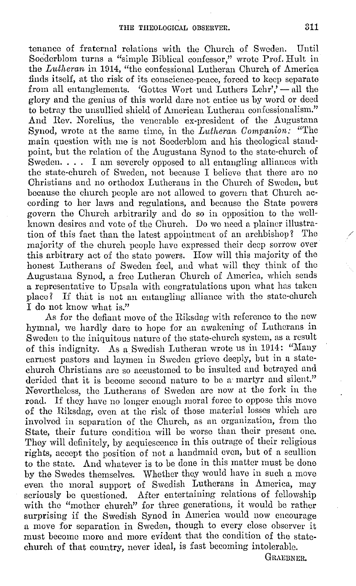tenance of fraternal relations with the Church of Sweden. Until Socderblom turns a "simple Biblical confessor," wrote Prof. Hult in the *Lutheran* in 1014, "the confessional Lutheran Church of America finds itself, at the risk of its conscience-peace, forced to keep separate from all entanglements. 'Gottes Wort und Luthers  $\text{Lehr'}$ ' -- all the glory and the genius of this world dare not entice us by word or deed to betray the unsullied shield of American Lutheran confessionalism." And Rev. Norelius, the venerable ex-president of the Augustana Synod, wrote at the same time, in the *Lutheran Companion:* "The main question with me is not Soederblom and his theological standpoint, but the relation of the Augustana Synod to the state-church of Sweden. . . . I am severely opposed to all entangling alliances with the state-church of Sweden, not because I believe that there are no Christians and no orthodox Lutherans in the Church of Sweden, but because the church people are not allowed to govern that Church according to her laws and regulations, and because the State powers govern tho Church arbitrarily and do so in opposition to the wellknown desires and vote of the Church. Do we need a plainer illustration of this fact than the latest appointment of an archbishop? The majority of the church people have expressed their deep sorrow over this arbitrary act of the state powers. How will this majority of the honest Lutherans of Sweden feel, and what will they think of the Augustana Synod, a free Lutheran Church of America, which sends a representative to Upsala with congratulations upon what has taken place? If that is not an entangling alliance with the state-church I do not know what is."

As for the defiant move of the Riksdag with reference to the new hymnal, we hardly dare to hope for au awakening of Lutherans in Sweden to the iniquitous nature of the state-church system, as a result of this indignity. As a Swedish Lutheran wrote us in 1914: "Many earnest pastors and laymen in Sweden grieve deeply, but in a statechurch Christians are so accustomed to be insulted and betrayed and derided that it is become second nature to be a martyr and silent." Nevertheless, the Lutherans of Sweden are now at the fork in the road. If they have no longer enough moral force to oppose this move of the Riksdag, even at the risk of those material losses which are involved in separation of the Church, as an organization, from the State, their future condition will be worse than their present one. They will definitely, by acquiescence in this outrage of their religious rights, accept the position of not a handmaid even, but of a scullion to the state. And whatever is to be done in this matter must be done by the Swedes themselves. Whether they would have in such a move even the moral support of Swedish Lutherans in America, may seriously be questioned. After entertaining relations of fellowship with the "mother church" for three generations, it would be rather surprising if the Swedish Synod in America would now encourage a move for separation in Sweden, though to every close observer it must become more and more evident that the condition of the statechurch of that country, never ideal, is fast becoming intolerable.

GRAEBNER.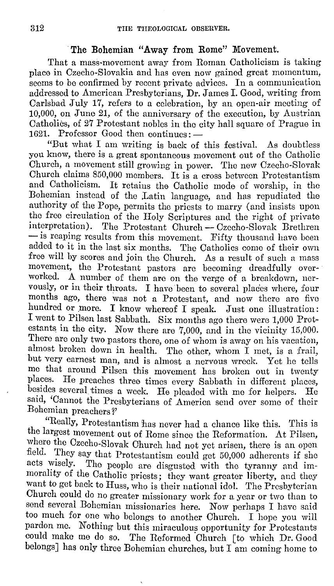### The Bohemian "Away from Rome" Movement.

That a mass-movement away from Roman Catholicism is taking place in Czecho-Slovakia and has even now gained great momentum, seems to be confirmed by recent private advices. In a communication addressed to American Presbyterians, Dr.James I. Good, writing from Carlsbad July 17, refers to a celebration, by an open-air meeting of 10,000, on June 21, of the anniversary of the execution, by Austrian Catholics, of 27 Protestant nobles in the city hall square of Prague in 1621. Professor Good then continues: -

"But what I am writing is back of this festival. As doubtless you know, there is a great spontaneous movement out of the Catholic Church, a movement still growing in power. The new Czecho-Slovak Church claims 850,000 members. It is a cross between Protestantism and Catholicism. It retains tho Catholic mode of worship, in the Bohemian instead of the Latin language, and has repudiated the authority of the Pope, permits the priests to marry (and insists upon the free circulation of the Holy Scriptures and the right of private interpretation). The Protestant Church - Czecho-Slovak Brethren - is reaping results from this movement. Fifty thousand have been added to it in the last six months. The Catholics come of their own free will by scores and join the Church. As a result of such a mass movement, the Protestant pastors are becoming dreadfully overworked. A number of them are on the verge of a breakdown, nervously, or in their throats. I have been to several places where, four months ago, there was not a Protestant, and now there are five hundred or more. I know whereof I speak. Just one illustration: I went to Pilsen last Sabbath. Six months ago there were 1,000 Protestants in the city. Now there are 7,000, and in tho vicinity 15,000. There are only two pastors there, one of whom is away on his vacation, almost broken down in health. The other, whom I met, is a frail, but very earnest man, and is almost a nervous wreck. Yet he tells me that around Pilsen this movement has broken out in twenty places. He preaches three times every Sabbath in different places, besides several times a week. He pleaded with mo for helpers. He said, 'Cannot the Presbyterians of America scud over some of their Bohemian preachers?'

"Really, Protestantism has never had a chance like this. This is the largest movement out of Rome since the Reformation. At Pilsen, where the Ozecho-Slovak Church had not yet arisen, there is an open field. They say that Protestantism could get 50,000 adherents if she acts wisely. The people are disgusted with the tyranny and immorality of the Catholic priests; they want greater liberty, and they want to get back to Huss, who is their national idol. The Presbyterian Church could do no greater missionary work for a year or two than to send several Bohemian missionaries here. Now perhaps I have said too much for one who belongs to another Church. I hope you will pardon me. Nothing but this miraculous opportunity for Protestants could make me do so. The Reformed Church [to which Dr. Good belongs] has only three Bohemian churches, but I am coming home to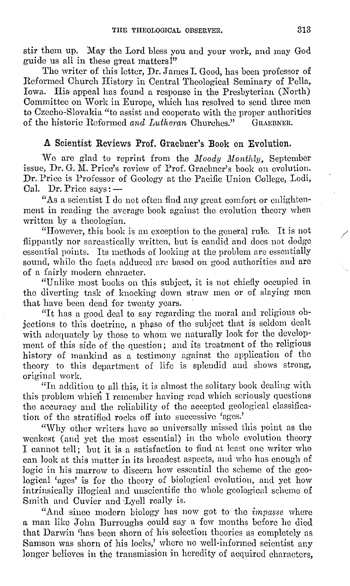stir them up. May the Lord bless you and your work, and may God guide us all in these great matters!"

The writer of this letter, Dr.James I. Good, has been professor of Reformed Church History in Central Theological Seminary of Pella, Iowa. His appeal has found a response in the Presbyterian (North) Committee on Work in Europe, which has resolved to send three men to Czecho-Slovakia "to assist and cooperate with the proper authorities<br>of the historic Reformed and Lutheran Churches" GRAEBNER. of the historic Reformed *and Lutheran* Churches."

## **A Scientist Reviews Prof. Graebuer's Book 011 Evolution.**

We are glad to reprint from the *Moody Monthly*. September issue, Dr. G. M. Price's review of Prof. Graebner's book on evolution. Dr. Price is Professor of Geology at the Pacific Union College, Lodi, Cal. Dr. Price says: --Dr. Price says:  $-$ 

"As a scientist I do not often find any great comfort or enlightenment in reading the average book against the evolution theory when written by a theologian.

"However, this book is au exception to the general ru1c. It is not */*  flippantly nor sarcastically written, but is candid and does not dodge essential points. Its methods of looking at the problem are essentially sound, while the facts adduced arc based on good authorities and are of a fairly modern character.

"Unlike most books on this subject, it is not chiefly occupied in the diverting task of knocking down straw men or of slaying men that have been dead for twenty years.

"It has a good deal to say regarding the moral and religious objections to this doctrine, a phase of the subject that is seldom dealt with adequately by those to whom we naturally look for the develop· ment of this side of the question; and its treatment of the religious history of mankind as a testimony against the application of the theory to this department of life is splendid and shows strong, original work.

"In addition to all this, it is almost the solitary book dealing with this problem which I remember having read which seriously questions the accuracy and the reliability of the accepted geological classification of the stratified rocks off into successive 'ages.'

"Why other writers have so universally missed this point as tho weakest (and yet the most essential) in the whole evolution theory I cannot tell; but it is a satisfaction to find at least one writer who can look at this matter in its broadest aspects, and who has enough of logic in his marrow to discern how essential the scheme of the geological 'ages' is for the theory of biological evolution, and yet how intrinsically illogical and unscientific the whole geological scheme of Smith and Cuvier and Lyell really is.

"And since modern biology has now got to the *·impasse* where a man like John Burroughs could say a few months before he died that Darwin 'has been shorn of his selection theories as completely as Samson was shorn of his locks,' where no well-informed scientist any longer believes in the transmission in heredity of acquired characters,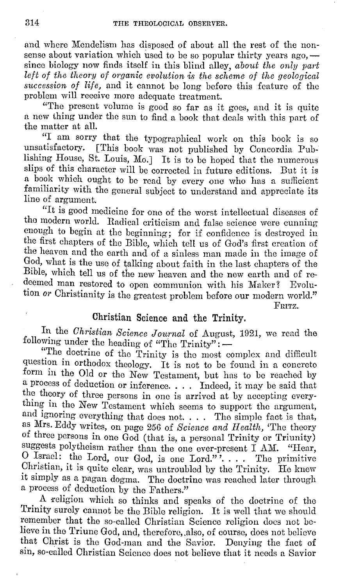and where Mendelism has disposed of about all the rest of the nonsense about variation which used to be so popular thirty years ago,  $$ since biology now finds itself in this blind alley, *about the only part left of the theory of 01·ganic evolution* is *the scheme of the geological succession of life,* and it cannot be long before this feature of the problem will receive more adequate treatment.

"The present volume is good so far as it goes, and it is quite a new thing under tho sun to find a book that deals with this part of the matter at all.

"I am sorry that the typographical work on this book is so unsatisfactory. [This book was not published by Concordia Publishing House, St. Louis, Mo.] It is to be hoped that the numerous slips of this character will be corrected in future editions. But it is a book which ought to be read by every one who has a sufficient familiarity with the general subject to understand and appreciate its line of argument.

"It is good medicine for one of the worst intellectual diseases of tho modern world. Radical criticism and false science were cunning enough to begin at the beginning; for if confidence is destroyed in the first chapters of the Bible, which tell us of God's first creation of the heaven and the earth and of a sinless man made in the image of God, what is the use of talking about faith in the last chapters of the Bible, which tell us of the new heaven and the new earth and of redeemed man restored to open communion with his Maker? Evolution *or* Christianity is the greatest problem before our modern world."

FRITZ.

### Christian Science and the Trinity.

In the *Christian Science Journal* of August, 1921, we read the following under the heading of "The Trinity": -

"The doctrine of the Trinity is tho most complex and difficult question in orthodox theology. It is not to be found in a concrete form in the Old or the New Testament, but has to be reached by a process of deduction or inference. . . . Indeed, it may be said that the theory of three persons in one is arrived at by accepting everything in tho New Testament which seems to support the argument, and ignoring everything that does not. . . . The simple fact is that, as Mrs. Eddy writes, on page 256 of *Science ancl Health,* 'The theory of three persons in one God (that is, a personal Trinity or Triunity) suggests polytheism rather than the one ever-present I AM. "Hear, O Israel: the Lord, our God, is one Lord."".... The primitive Christian, it is quite clear, was untroubled by tho Trinity. Ho knew it simply as a pagan dogma. Tho doctrine was reached later through a process of deduction by the Fathers."

A religion which so thinks and speaks of the doctrine of the Trinity surely cannot be the Bible religion. It is well that we should remember that the so-called Christian Science religion docs not believe in the Triune God, and, therefore, also, of course, does not believe that Christ is the God-man and the Savior. Denying the fact of sin, so-called Christian Science does not believe that it needs a Savior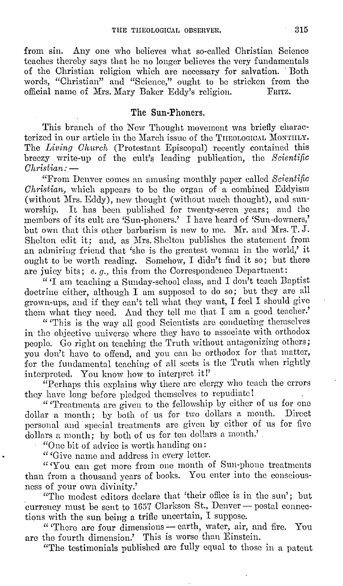from sin. Any one who believes what so-called Christian Science teaches thereby says that he no longer believes the very fundamentals of the Christian religion which are necessary for salvation. · Both words, "Christian" and "Science," ought to be stricken from the official name of Mrs. Mary Baker Eddy's religion. official name of Mrs. Mary Baker Eddy's religion.

#### **The Sun-Phoners.**

This branch of the New Thought movement was briefly characterized in our article in the March issue of the THEOLOGICAL MONTHLY. The *Living Church* (Protestant Episcopal) recently contained this breezy write-up of the cult's leading publication, the *Scientific Chrisl·ian:* -

"From Denver comes an amusing monthly paper called *Scientific Christian,* which appears to be the organ of a combined Eddyism (without Mrs. Eddy), new thought (without much thought), and sunworship. It has been published for twenty-seven years; and the members of its cult are 'Sun-phoners.' I have heard of 'Sun-downers,' but own that this other barbarism is new to me. Mr. and Mrs. T. J. Shelton edit it; and, as Mrs. Shelton publishes the statement from an admiring friend that 'she is the greatest woman in the world,' it ought to be worth reading. Somehow, I didn't find it so; but there are juicy bits;  $e, g$ , this from the Correspondence Department:

"'I am teaching a Sunday-school class, and I don't teach Baptist doctrine either, although I am supposed to do so; but they are all grown-ups, and if they can't tell what they want, I feel I should give them what they need. And they tell *me* that I am a good teacher.'

" 'This is the way all good Scientists are conducting themselves in· the objective universe where they have to associate with orthodox people. Go right on teaching the Truth without antagonizing others; you don't have to offend, and you can be orthodox for that matter, for the fundamental teaching of all sects is the Truth when rightly interpreted. You know how to interpret it!'

"Perhaps this explains why there arc clergy who teach the errors they have long before pledged themselves to repudiate!

"Treatments are given to the fellowship by either of us for one dollar a month; by both of us for two dollars a month. Direct personal and special treatments arc given by either of us for five dollars a month; by both of us for ten dollars a month.'

"One hit of advice is worth handing on:

" 'Give name and address in every letter.

"'You can get more from one month of Sun-phone treatments than from a thousand years of books. You enter into the consciousness of your own divinity.'

"The modest editors declare that 'their ofliee is in the sun'; but currency must be sent to 1657 Clarkson St., Denver - postal connections with the sun being a trifle uncertain, I suppose.

"There are four dimensions - earth, water, air, and fire. You are the fourth dimension.' This is worse than Einstein.

"The testimonials published are fully equal to those in a patent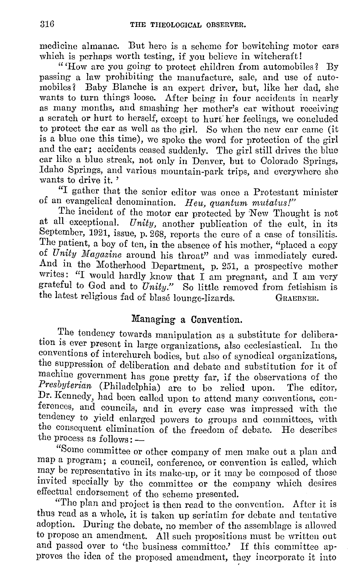medicine almanac. But here is a scheme for bewitching motor cars which is perhaps worth testing, if you believe in witchcraft!

"How are you going to protect children from automobiles? By passing a law prohibiting the manufacture, sale, and use of automobiles? Baby Blanche is an expert driver, but, like her dad, she wants to turn things loose. After being in four accidents in nearly as many months, and smashing her mother's car without receiving a scratch or hurt to herself, except to hurf her feelings, we concluded to protect the car as well as the girl. So when the new car came (it is a blue one this time), we spoke the word for protection of the girl and the car; accidents ceased suddenly. The girl still drives the blue car like a blue streak, not only in Denver, but to Colorado Springs, Idaho Springs, and various mountain-park trips, and everywhere she wants to drive it.'

"I gather that the senior editor was once a Protestant minister of an evangelical denomination. Heu, quantum mutatus!"

The incident of the motor car protected by 'New Thought is not at all exceptional. *Unity,* another publication of the cult, in its September, 1921, issue, p. 268, reports the cure of a case of tonsilitis. The patient, a boy of ten, in the absence of his mother, "placed a copy of *Unity Magazine* around his throat" and was immediately cured. And in the Motherhood Department, p. 251, a prospective mother writes: "I would hardly know that  $I$  am pregnant, and  $I$  am very grateful to God and to *Unity.*" So little removed from fetishism is the latest religious fad of blase lounge-lizards. GRAEBNER.

#### Managing a Convention.

The tendency towards manipulation as a substitute for deliberation 1s ever present in large organizations, also ecclesiastical. In the conventions of interchurch bodies, but also of synodical organizations, the suppression of deliberation and debate and substitution for it of machine government has gone pretty far, if the observations of the *Presbyterian* (Philadelphia) are to be relied upon. The editor, Dr. Kennedy, had been called upon to attend many conventions, conferences, and councils, and in every case was impressed with the tendency to yield enlarged powers to groups and committees, with the consequent elimination of the freedom of debate. He describes the process as follows: -

"Some committee or other company of men make out a plan and map a program; a council, conference, or convention is called, which may be representative in its make-up, or it may be composed of those invited specially by the committee or the company which desires effectual endorsement of the scheme presented.

"The plan and project is then read to the convention. After it is thus read as a whole, it is taken up seriatim for debate and tentative adoption. During the debate, no member of the assemblage is allowed to propose an amendment. All such propositions must be written out and passed over to 'the business committee.' If this committee approves the idea of the proposed amendment, they incorporate it into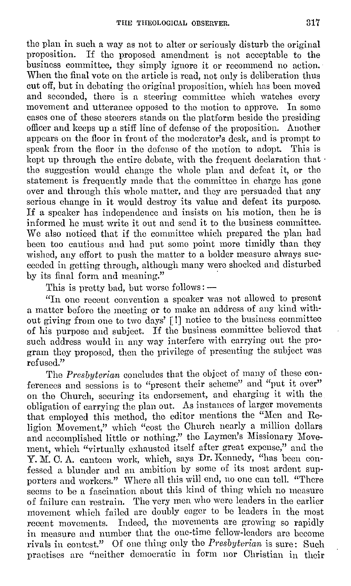the plan in such a way as not to alter or seriously disturb the original<br>proposition. If the proposed amendment is not acceptable to the If the proposed amendment is not acceptable to the business committee, they simply ignore it or recommend no action. When the final vote on the article is read, not only is deliberation thus cut off, but in debating the original proposition, which has been moved and seconded, there is a steering committee which watches every movement and utterance opposed to the motion to approve. In some movement and utterance opposed to the motion to approve. cases one of these steerers stands on the platform beside the presiding officer and keeps up a stiff line of defense of the proposition. Another appears on the floor in front of the moderator's desk, and is prompt to speak from the floor in the defense of the motion to adopt. This is kept up through the entire debate, with the frequent declaration that  $\cdot$ the suggestion would change the whole plan and defeat it, or the statement is frequently made that the committee in charge has gone over and through this whole matter, and they arc persuaded that any serious change in it would destroy its value and defeat its purpose. If a speaker has independence and insists on his motion, then he is informed he must write it out and send it to the business committee. We also noticed that if the committee which prepared the plan had been too cautious and had put some point more timidly than they wished, any effort to push the matter to a bolder measure always succeeded in getting through, although many were shocked and disturbed by its final form and meaning."

This is pretty bad, but worse follows:  $-$ 

"In one recent convention a speaker was not allowed to present a matter before the meeting or to make an address of any kind without giving from one to two days' [ !] notice to the business committee of his purpose and subject. If the business committee believed that such address would in any way interfere with carrying out the program they proposed, then tho privilege of presenting the subject was refused."

The *Presbyterian* concludes that the object of many of these conferences and sessions is to "present their scheme" and "put it over" on the Church, securing its endorsement, and charging it with the obligation of carrying the plan out. As instances of larger movements that employed this method, the editor mentions the "Men and Religion Movement," which "cost the Church nearly a million dollars and accomplished little or nothing," the Laymen's Missionary Movement, which "virtually exhausted itself after great expense," and the Y. M. C. A. canteen work, which, says Dr. Kennedy, "has been confessed a blunder and an ambition by some of its most ardent supporters and workers." Where all this will end, no one can tell. "There seems to be a fascination about this kind of thing which no measure of failure can restrain. The very men who were leaders in the earlier movement which failed aro doubly eager to be leaders in the most recent movements. Indeed, the movements are growing so rapidly in measure and number that the one-time fellow-leaders are become rivals in contest." Of one thing only the *Presbyterian* is sure: Such practises arc "neither democratic in form nor Christian in their